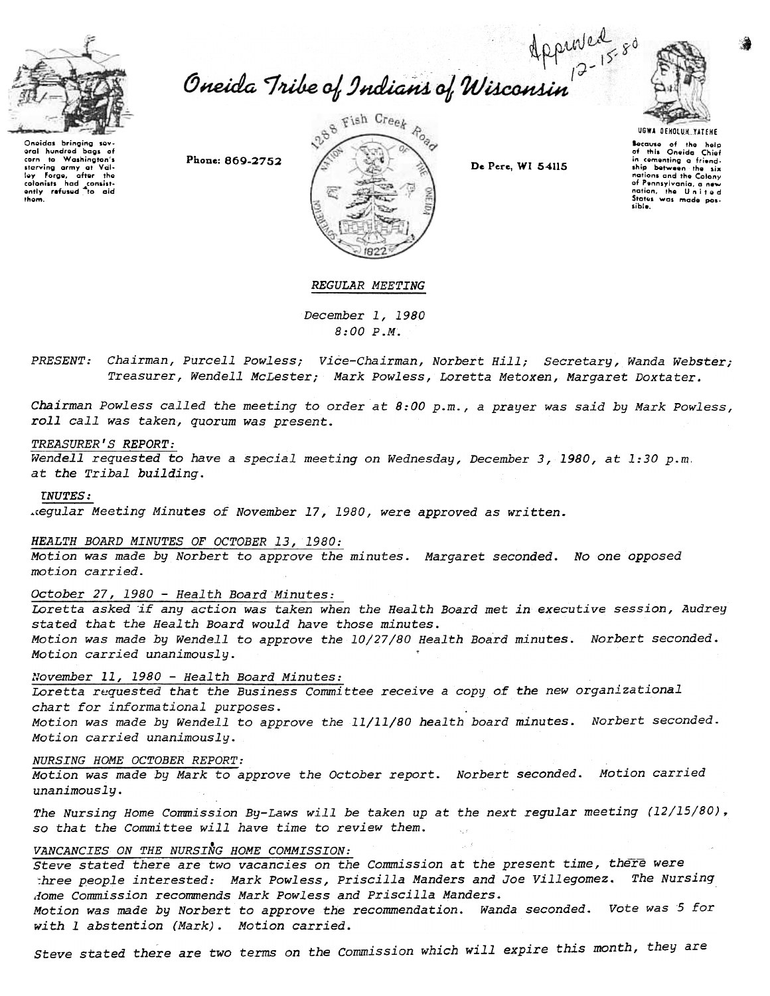

# Oneida Tribe of Indians of Wisconsin<sup>2-158</sup>

Onoidas bringing sov<br>oral hundrod bags o corn to Washington's<br>starving army at Val<br>Ioy Forgo, after the colonists had consist<br>ently refused to aid<br>thom.





Because of the help<br>of this Oneida Chief comenting a friend. ship between the six stup Derwest the Colony of Pennsylvania, a new nation, the United Status was made pos-

# REGULAR MEETING

December 1, 1980 8:00 P.M.

Chairman, Purcell Powless; Vice-Chairman, Norbert Hill; Secretary, Wanda Webste Treasurer, Wendell McLester; Mark Powless, Loretta Metoxen, Margaret Doxtat

Chairman Powless called the meeting to order at 8:00 p.m., a prayer was said by Mark Powless, roll call was taken, quorum was present.

# TREASURER'S REPORT:

Wendell requested to have a special meeting on Wednesday, December 3,1980, at 1:30 p.m. at the Tribal building.

#### rNUTES:

.,egular Meeting Minutes of November 17,1980, were approved as written.

## HEALTH BOARD MINUTES OF OCTOBER 13, 1980:

Motion was made by Norbert to approve the minutes. Margaret seconded. No one opposed motion carried.

October 27, 1980 - Health Board Minutes:

Loretta asked if any action was taken when the Health Board met in executive session, Audrey stated that the Health Board would have those minutes. Motion was made by Wendell to approve the 10/27/80 Health Board minutes. Norbert seconded. Motion carried unanimously.

# November 11, 1980 - Health Board Minutes:

Loretta requested that the Business Committee receive a copy of the new organizational chart for informational purposes.

Motion was made by Wendell to approve the 11/11/80 health board minutes. Norbert seconded. Motion carried unanimously.

#### NURSING HOME OCTOBER REPORT:

Motion was made by Mark to approve the October report. Norbert seconded. Motion carried unanimously.

The Nursing Home Commission By-Laws will be taken up at the next regular meeting (12/15/80), so that the Committee will have time to review them.<br>VANCANCIES ON THE NURSING HOME COMMISSION:

# VANCANCIES ON THE NURSING HOME COMMISSION:

steve stated there are two vacancies on the Commission at the present time, there were :hree people interested: Mark Powless, priscilla Manders and Joe Villegomez. The Nursing .lome Commission recommends Mark Powless and priscilla Manders.

Motion was made by Norbert to approve the recommendation. Wanda seconded. Vote was 5 for with 1 abstention (Mark). Motion carried.

Steve stated there are two terms on the commission which will expire this month, they are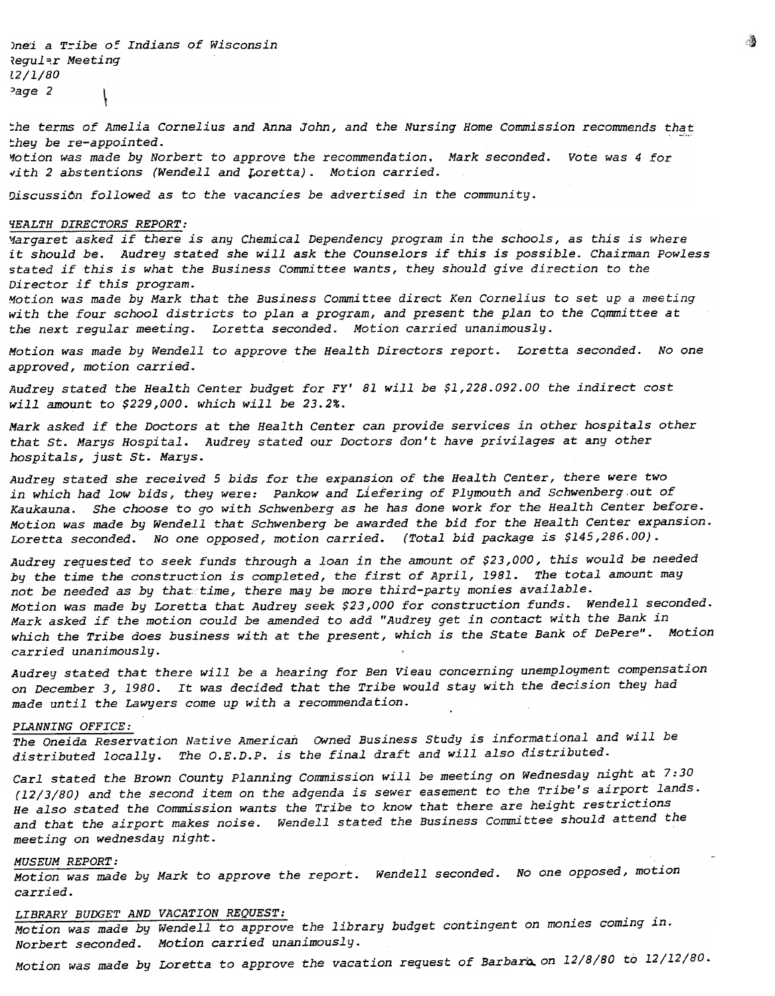)nei a Tribe of Indians of Wisconsin Regular Meeting [2/1/80  $2$  age 2

the terms of Amelia Cornelius and Anna John, and the Nursing Home Commission recommends that :hey be re-appointed.

Ifotion was made by Norbert to approve the recommendation. Mark seconded. Vote was 4 for  $vith$  2 abstentions (Wendell and Loretta). Motion carried.

Discussion followed as to the vacancies be advertised in the community.

#### ~EALTH DIRECTORS REPORT:

Margaret asked if there is any Chemical Dependency program in the schools, as this is where it should be. Audrey stated she will ask the Counselors if this is possible. Chairman Powless stated if this is what the Business Committee wants, they should give direction to the Director if this program.

Motion was made by Mark that the Business Conunittee direct Ken Cornelius to set up a meeting with the four school districts to plan a program, and present the plan to the Committee at the next regular meeting. Loretta seconded. Motion carried unanimously.

Motion was made by Wendell to approve the Health Directors report. Loretta seconded. No one approved, motion carried.

Audrey stated the Health Center budget for FY' 81 will be \$1,228.092.00 the indirect cost will amount to \$229,000. which will be 23.2%.

Mark asked if the Doctors at the Health Center can provide services in other hospitals other that st. Marys Hospital. Audrey stated our Doctors don't have privi1ages at any other hospitals, just St. Marys.

Audrey stated she received 5 bids for the expansion of the Health Center, there were two in which had low bids, they were: Pankow and Liefering of Plymouth and Schwenberg out of Kaukauna. She choose to go with Schwenberg as he has done work for the Health Center before. Motion was made by Wendell that Schwenberg be awarded the bid for the Health Center expansion. Loretta seconded. No one opposed, motion carried. (Total bid package is \$145,286.00).

Audrey requested to seek funds through a loan in the amount of \$23,000, this would be needed by the time the construction is completed, the first of April, 1981. The total amount may not be needed as by that time, there may be more third-party monies available. Motion was made by Loretta that Audrey seek \$23,000 for construction funds. Wendell seconded. Mark asked if the motion could be amended to add "Audrey get in contact with the Bank in which the Tribe does business with at the present, which is the State Bank of DePere". Motion carried unanimously.

Audrey stated that there will be a hearing for Ben Vieau concerning unemployment compensation on December 3,1980. It was decided that the Tribe would stay with the decision they had made until the Lawyers come up with a recommendation.

#### PLANNING OFFICE:

The Oneida Reservation Native American Owned Business Study is informational and will be distributed locally. The O.E.D.P. is the final draft and will also distributed.

Carl stated the Brown County Planning Commission will be meeting on Wednesday night at 7:30 (12/3/80) and the second item on the adgenda is sewer easement to the Tribe's airport lands. He also stated the Commission wants the Tribe to know that there are height restrictions and that the airport makes noise. Wendell stated the Business Committee should attend the meeting on wednesday night.

#### MUSEUM REPORT:

Motion was made by Mark to approve the report. Wendell seconded. No one opposed, motion carried.

LIBRARY BUDGET AND VACATION REQUEST:<br>Motion was made by Wendell to approve the library budget contingent on monies coming in. Norbert seconded. Motion carried unanimously.

Motion was made by Loretta to approve the vacation request of Barbara on 12/8/80 to 12/12/80.